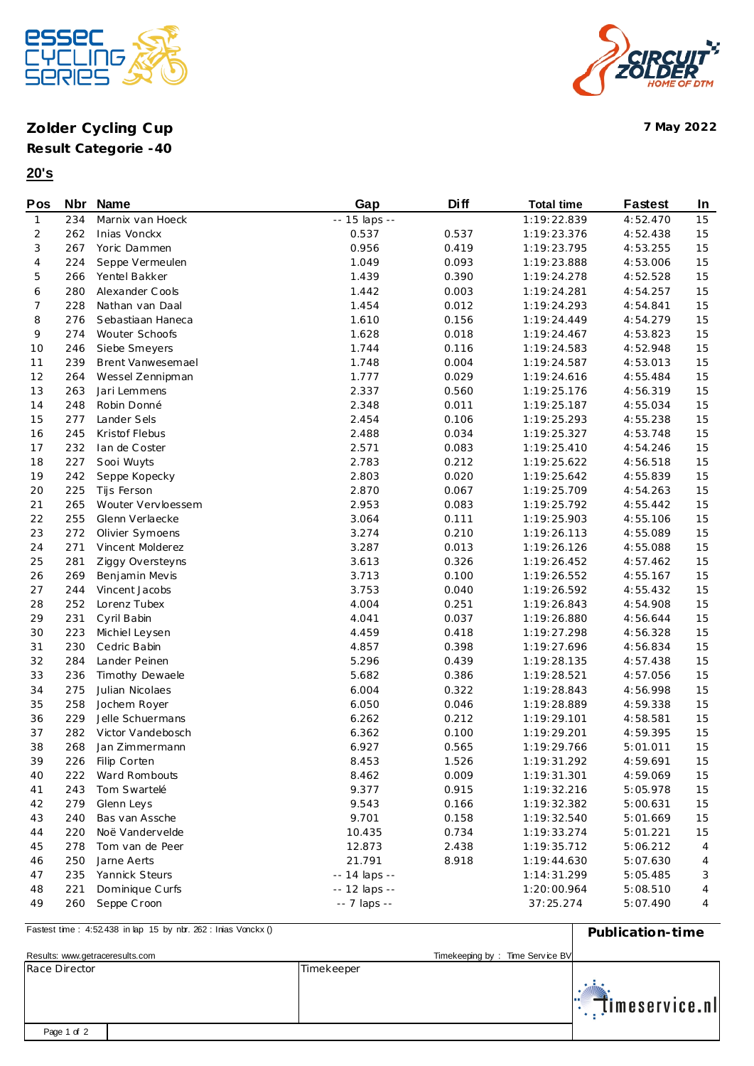

## **Zolder Cycling Cup 7 May 2022**



**20's**



## **Pos Nbr Name Gap Diff Total time Fastest In** 1 234 Marnix van Hoeck -- 15 laps -- 15 laps -- 1:19:22.839 4:52.470 15 262 Inias Vonckx 0.537 0.537 1:19:23.376 4:52.438 15 267 Yoric Dammen 0.956 0.419 1:19:23.795 4:53.255 15 224 Seppe Vermeulen 1.049 0.093 1:19:23.888 4:53.006 15 266 Yentel Bakker 1.439 0.390 1:19:24.278 4:52.528 15 280 Alexander C ools 1.442 0.003 1:19:24.281 4:54.257 15 228 Nathan van Daal 1.454 0.012 1:19:24.293 4:54.841 15 276 Sebastiaan Haneca 1.610 0.156 1:19:24.449 4:54.279 15 274 Wouter Schoofs 1.628 0.018 1:19:24.467 4:53.823 15 246 Siebe Smeyers 1.744 0.116 1:19:24.583 4:52.948 15 239 Brent Vanwesemael 1.748 0.004 1:19:24.587 4:53.013 15 264 Wessel Zennipman 1.777 0.029 1:19:24.616 4:55.484 15 263 Jari Lemmens 2.337 0.560 1:19:25.176 4:56.319 15 248 Robin Donné 2.348 0.011 1:19:25.187 4:55.034 15 277 Lander Sels 2.454 0.106 1:19:25.293 4:55.238 15 245 Kristof Flebus 2.488 0.034 1:19:25.327 4:53.748 15 232 Ian de C oster 2.571 0.083 1:19:25.410 4:54.246 15 227 Sooi Wuyts 2.783 0.212 1:19:25.622 4:56.518 15 242 Seppe Kopecky 2.803 0.020 1:19:25.642 4:55.839 15 225 Tijs Ferson 2.870 0.067 1:19:25.709 4:54.263 15 265 Wouter Vervloessem 2.953 0.083 1:19:25.792 4:55.442 15 255 Glenn Verlaecke 3.064 0.111 1:19:25.903 4:55.106 15 272 Olivier Symoens 3.274 0.210 1:19:26.113 4:55.089 15 271 Vincent Molderez 3.287 0.013 1:19:26.126 4:55.088 15 281 Ziggy Oversteyns 3.613 0.326 1:19:26.452 4:57.462 15 269 Benjamin Mevis 3.713 0.100 1:19:26.552 4:55.167 15 244 Vincent Jacobs 3.753 0.040 1:19:26.592 4:55.432 15 252 Lorenz Tubex 4.004 0.251 1:19:26.843 4:54.908 15 231 Cyril Babin 4.041 0.037 1:19:26.880 4:56.644 15 223 Michiel Leysen 4.459 0.418 1:19:27.298 4:56.328 15 230 Cedric Babin 4.857 0.398 1:19:27.696 4:56.834 15 284 Lander Peinen 5.296 0.439 1:19:28.135 4:57.438 15 236 Timothy Dewaele 5.682 0.386 1:19:28.521 4:57.056 15 275 Julian Nicolaes 6.004 0.322 1:19:28.843 4:56.998 15 258 Jochem Royer 6.050 0.046 1:19:28.889 4:59.338 15 229 Jelle Schuermans 6.262 0.212 1:19:29.101 4:58.581 15 282 Victor Vandebosch 6.362 0.100 1:19:29.201 4:59.395 15 268 Jan Zimmermann 6.927 0.565 1:19:29.766 5:01.011 15 226 Filip Corten 8.453 1.526 1:19:31.292 4:59.691 15 222 Ward Rombouts 8.462 0.009 1:19:31.301 4:59.069 15 243 Tom Swartelé 9.377 0.915 1:19:32.216 5:05.978 15 279 Glenn Leys 9.543 0.166 1:19:32.382 5:00.631 15 240 Bas van Assche 9.701 0.158 1:19:32.540 5:01.669 15 220 Noë Vandervelde 10.435 0.734 1:19:33.274 5:01.221 15 278 Tom van de Peer 12.873 2.438 1:19:35.712 5:06.212 4 250 Jarne Aerts 21.791 8.918 1:19:44.630 5:07.630 4 47 235 Yannick Steurs -- 14 laps -- 1:14:31.299 5:05.485 3 48 221 Dominique Curfs -- 12 laps -- 12 -- 12 -- 12 -- 12 -- 12 -- 1:20:00.964 5:08.510 4 260 Seppe C roon -- 7 laps -- 37:25.274 5:07.490 4

**Publication-time** Fastest time : 4:52438 in lap 15 by nbr. 262 : Inias Vonckx () Results: <www.getraceresults.com> exercise by the service BV control of the Service BV control of the Service BV control of the Service BV control of the Service BV control of the Service BV control of the Service BV control Race Director **Timekeeper** 'imeservice.nl Page 1 of 2